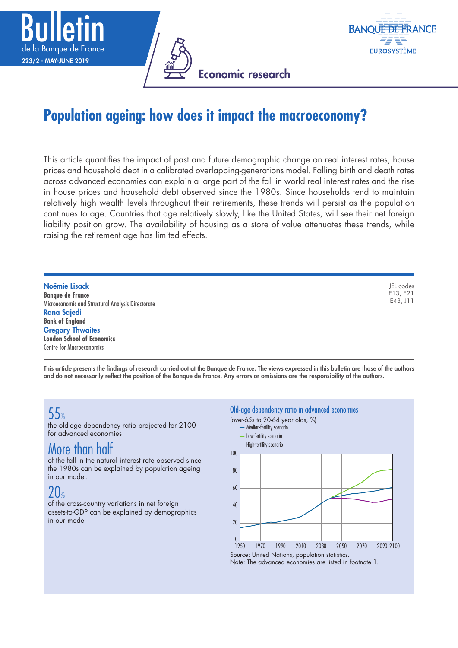





# **Population ageing: how does it impact the macroeconomy?**

This article quantifies the impact of past and future demographic change on real interest rates, house prices and household debt in a calibrated overlapping-generations model. Falling birth and death rates across advanced economies can explain a large part of the fall in world real interest rates and the rise in house prices and household debt observed since the 1980s. Since households tend to maintain relatively high wealth levels throughout their retirements, these trends will persist as the population continues to age. Countries that age relatively slowly, like the United States, will see their net foreign liability position grow. The availability of housing as a store of value attenuates these trends, while raising the retirement age has limited effects.

Noëmie Lisack **Banque de France** Microeconomic and Structural Analysis Directorate Rana Sajedi **Bank of England** Gregory Thwaites **London School of Economics** Centre for Macroeconomics

JEL codes E13, E21 E43, J11

This article presents the findings of research carried out at the Banque de France. The views expressed in this bulletin are those of the authors and do not necessarily reflect the position of the Banque de France. Any errors or omissions are the responsibility of the authors.

# 55%

the old-age dependency ratio projected for 2100 for advanced economies

# More than half

of the fall in the natural interest rate observed since the 1980s can be explained by population ageing in our model.

## $20<sub>%</sub>$

of the cross-country variations in net foreign assets-to-GDP can be explained by demographics in our model

#### Old-age dependency ratio in advanced economies



Note: The advanced economies are listed in footnote 1.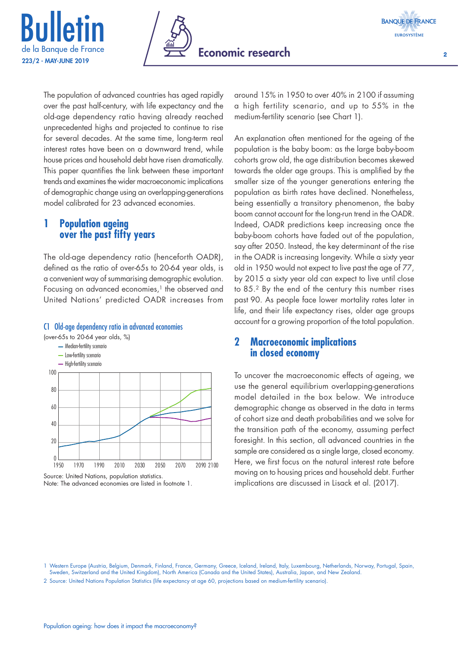





 $\overline{2}$ 

The population of advanced countries has aged rapidly over the past half-century, with life expectancy and the old-age dependency ratio having already reached unprecedented highs and projected to continue to rise for several decades. At the same time, long-term real interest rates have been on a downward trend, while house prices and household debt have risen dramatically. This paper quantifies the link between these important trends and examines the wider macroeconomic implications of demographic change using an overlapping-generations model calibrated for 23 advanced economies.

## **1 Population ageing over the past fifty years**

The old-age dependency ratio (henceforth OADR), defined as the ratio of over-65s to 20-64 year olds, is a convenient way of summarising demographic evolution. Focusing on advanced economies, $<sup>1</sup>$  the observed and</sup> United Nations' predicted OADR increases from

#### C1 Old-age dependency ratio in advanced economies

(over-65s to 20-64 year olds, %) - Median-fertility scenario Low-fertility scenario



Note: The advanced economies are listed in footnote 1.

around 15% in 1950 to over 40% in 2100 if assuming a high fertility scenario, and up to 55% in the medium-fertility scenario (see Chart 1).

An explanation often mentioned for the ageing of the population is the baby boom: as the large baby-boom cohorts grow old, the age distribution becomes skewed towards the older age groups. This is amplified by the smaller size of the younger generations entering the population as birth rates have declined. Nonetheless, being essentially a transitory phenomenon, the baby boom cannot account for the long-run trend in the OADR. Indeed, OADR predictions keep increasing once the baby-boom cohorts have faded out of the population, say after 2050. Instead, the key determinant of the rise in the OADR is increasing longevity. While a sixty year old in 1950 would not expect to live past the age of 77, by 2015 a sixty year old can expect to live until close to 85.2 By the end of the century this number rises past 90. As people face lower mortality rates later in life, and their life expectancy rises, older age groups account for a growing proportion of the total population.

## **2 Macroeconomic implications in closed economy**

To uncover the macroeconomic effects of ageing, we use the general equilibrium overlapping-generations model detailed in the box below. We introduce demographic change as observed in the data in terms of cohort size and death probabilities and we solve for the transition path of the economy, assuming perfect foresight. In this section, all advanced countries in the sample are considered as a single large, closed economy. Here, we first focus on the natural interest rate before moving on to housing prices and household debt. Further implications are discussed in Lisack et al. (2017).

<sup>1</sup> Western Europe (Austria, Belgium, Denmark, Finland, France, Germany, Greece, Iceland, Ireland, Italy, Luxembourg, Netherlands, Norway, Portugal, Spain, Sweden, Switzerland and the United Kingdom), North America (Canada and the United States), Australia, Japan, and New Zealand.

<sup>2</sup> Source: United Nations Population Statistics (life expectancy at age 60, projections based on medium-fertility scenario).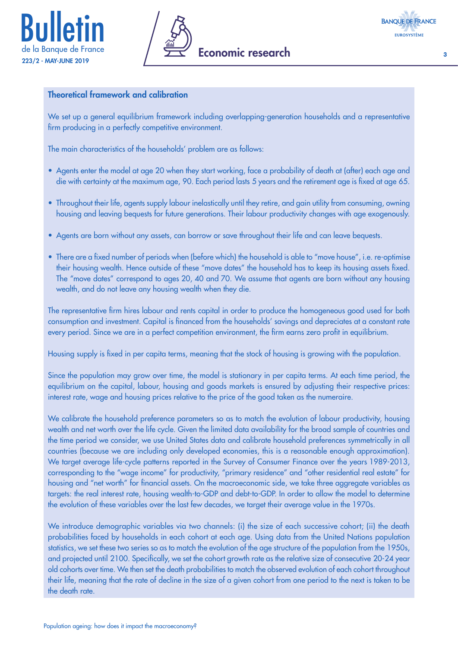





3

### Theoretical framework and calibration

We set up a general equilibrium framework including overlapping-generation households and a representative firm producing in a perfectly competitive environment.

The main characteristics of the households' problem are as follows:

- Agents enter the model at age 20 when they start working, face a probability of death at (after) each age and die with certainty at the maximum age, 90. Each period lasts 5 years and the retirement age is fixed at age 65.
- Throughout their life, agents supply labour inelastically until they retire, and gain utility from consuming, owning housing and leaving bequests for future generations. Their labour productivity changes with age exogenously.
- Agents are born without any assets, can borrow or save throughout their life and can leave bequests.
- There are a fixed number of periods when (before which) the household is able to "move house", i.e. re-optimise their housing wealth. Hence outside of these "move dates" the household has to keep its housing assets fixed. The "move dates" correspond to ages 20, 40 and 70. We assume that agents are born without any housing wealth, and do not leave any housing wealth when they die.

The representative firm hires labour and rents capital in order to produce the homogeneous good used for both consumption and investment. Capital is financed from the households' savings and depreciates at a constant rate every period. Since we are in a perfect competition environment, the firm earns zero profit in equilibrium.

Housing supply is fixed in per capita terms, meaning that the stock of housing is growing with the population.

Since the population may grow over time, the model is stationary in per capita terms. At each time period, the equilibrium on the capital, labour, housing and goods markets is ensured by adjusting their respective prices: interest rate, wage and housing prices relative to the price of the good taken as the numeraire.

We calibrate the household preference parameters so as to match the evolution of labour productivity, housing wealth and net worth over the life cycle. Given the limited data availability for the broad sample of countries and the time period we consider, we use United States data and calibrate household preferences symmetrically in all countries (because we are including only developed economies, this is a reasonable enough approximation). We target average life-cycle patterns reported in the Survey of Consumer Finance over the years 1989-2013, corresponding to the "wage income" for productivity, "primary residence" and "other residential real estate" for housing and "net worth" for financial assets. On the macroeconomic side, we take three aggregate variables as targets: the real interest rate, housing wealth-to-GDP and debt-to-GDP. In order to allow the model to determine the evolution of these variables over the last few decades, we target their average value in the 1970s.

We introduce demographic variables via two channels: (i) the size of each successive cohort; (ii) the death probabilities faced by households in each cohort at each age. Using data from the United Nations population statistics, we set these two series so as to match the evolution of the age structure of the population from the 1950s, and projected until 2100. Specifically, we set the cohort growth rate as the relative size of consecutive 20-24 year old cohorts over time. We then set the death probabilities to match the observed evolution of each cohort throughout their life, meaning that the rate of decline in the size of a given cohort from one period to the next is taken to be the death rate.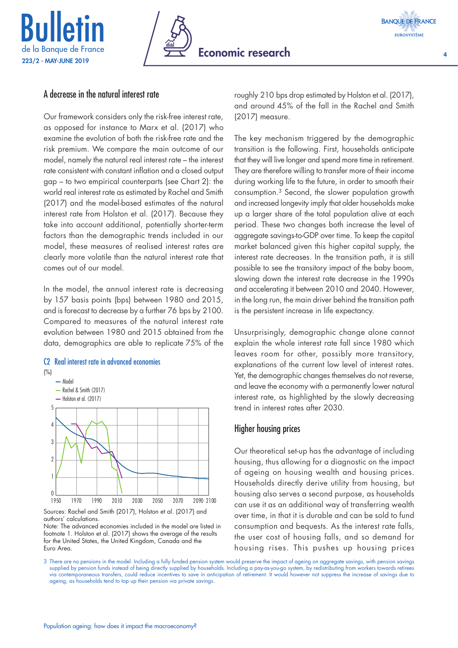





4

## A decrease in the natural interest rate

Our framework considers only the risk-free interest rate, as opposed for instance to Marx et al. (2017) who examine the evolution of both the risk-free rate and the risk premium. We compare the main outcome of our model, namely the natural real interest rate – the interest rate consistent with constant inflation and a closed output gap – to two empirical counterparts (see Chart 2): the world real interest rate as estimated by Rachel and Smith (2017) and the model-based estimates of the natural interest rate from Holston et al. (2017). Because they take into account additional, potentially shorter-term factors than the demographic trends included in our model, these measures of realised interest rates are clearly more volatile than the natural interest rate that comes out of our model.

In the model, the annual interest rate is decreasing by 157 basis points (bps) between 1980 and 2015, and is forecast to decrease by a further 76 bps by 2100. Compared to measures of the natural interest rate evolution between 1980 and 2015 obtained from the data, demographics are able to replicate 75% of the

### C2 Real interest rate in advanced economies



Note: The advanced economies included in the model are listed in footnote 1. Holston et al. (2017) shows the average of the results for the United States, the United Kingdom, Canada and the Euro Area.

roughly 210 bps drop estimated by Holston et al. (2017), and around 45% of the fall in the Rachel and Smith (2017) measure.

The key mechanism triggered by the demographic transition is the following. First, households anticipate that they will live longer and spend more time in retirement. They are therefore willing to transfer more of their income during working life to the future, in order to smooth their consumption.3 Second, the slower population growth and increased longevity imply that older households make up a larger share of the total population alive at each period. These two changes both increase the level of aggregate savings-to-GDP over time. To keep the capital market balanced given this higher capital supply, the interest rate decreases. In the transition path, it is still possible to see the transitory impact of the baby boom, slowing down the interest rate decrease in the 1990s and accelerating it between 2010 and 2040. However, in the long run, the main driver behind the transition path is the persistent increase in life expectancy.

Unsurprisingly, demographic change alone cannot explain the whole interest rate fall since 1980 which leaves room for other, possibly more transitory, explanations of the current low level of interest rates. Yet, the demographic changes themselves do not reverse, and leave the economy with a permanently lower natural interest rate, as highlighted by the slowly decreasing trend in interest rates after 2030.

## Higher housing prices

Our theoretical set-up has the advantage of including housing, thus allowing for a diagnostic on the impact of ageing on housing wealth and housing prices. Households directly derive utility from housing, but housing also serves a second purpose, as households can use it as an additional way of transferring wealth over time, in that it is durable and can be sold to fund consumption and bequests. As the interest rate falls, the user cost of housing falls, and so demand for housing rises. This pushes up housing prices

3 There are no pensions in the model. Including a fully funded pension system would preserve the impact of ageing on aggregate savings, with pension savings supplied by pension funds instead of being directly supplied by households. Including a pay-as-you-go system, by redistributing from workers towards retirees via contemporaneous transfers, could reduce incentives to save in anticipation of retirement. It would however not suppress the increase of savings due to ageing, as households tend to top up their pension via private savings.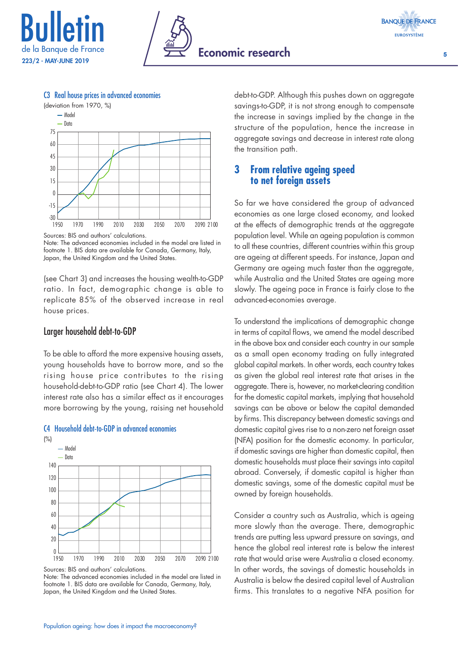



5



#### C3 Real house prices in advanced economies

Sources: BIS and authors' calculations. Note: The advanced economies included in the model are listed in footnote 1. BIS data are available for Canada, Germany, Italy, Japan, the United Kingdom and the United States.

(see Chart 3) and increases the housing wealth-to-GDP ratio. In fact, demographic change is able to replicate 85% of the observed increase in real house prices.

#### Larger household debt-to-GDP

To be able to afford the more expensive housing assets, young households have to borrow more, and so the rising house price contributes to the rising household-debt-to-GDP ratio (see Chart 4). The lower interest rate also has a similar effect as it encourages more borrowing by the young, raising net household



#### C4 Household debt-to-GDP in advanced economies

Sources: BIS and authors' calculations.

Note: The advanced economies included in the model are listed in footnote 1. BIS data are available for Canada, Germany, Italy, Japan, the United Kingdom and the United States.

debt-to-GDP. Although this pushes down on aggregate savings-to-GDP, it is not strong enough to compensate the increase in savings implied by the change in the structure of the population, hence the increase in aggregate savings and decrease in interest rate along the transition path.

## **3 From relative ageing speed to net foreign assets**

So far we have considered the group of advanced economies as one large closed economy, and looked at the effects of demographic trends at the aggregate population level. While an ageing population is common to all these countries, different countries within this group are ageing at different speeds. For instance, Japan and Germany are ageing much faster than the aggregate, while Australia and the United States are ageing more slowly. The ageing pace in France is fairly close to the advanced-economies average.

To understand the implications of demographic change in terms of capital flows, we amend the model described in the above box and consider each country in our sample as a small open economy trading on fully integrated global capital markets. In other words, each country takes as given the global real interest rate that arises in the aggregate. There is, however, no market-clearing condition for the domestic capital markets, implying that household savings can be above or below the capital demanded by firms. This discrepancy between domestic savings and domestic capital gives rise to a non-zero net foreign asset (NFA) position for the domestic economy. In particular, if domestic savings are higher than domestic capital, then domestic households must place their savings into capital abroad. Conversely, if domestic capital is higher than domestic savings, some of the domestic capital must be owned by foreign households.

Consider a country such as Australia, which is ageing more slowly than the average. There, demographic trends are putting less upward pressure on savings, and hence the global real interest rate is below the interest rate that would arise were Australia a closed economy. In other words, the savings of domestic households in Australia is below the desired capital level of Australian firms. This translates to a negative NFA position for